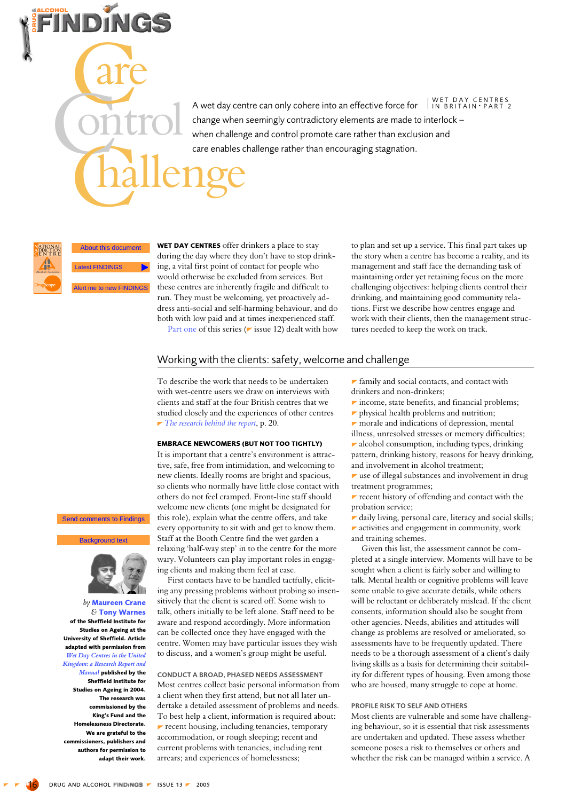| WET DAY CENTRES<br>| IN BRITAIN · PART 2 A wet day centre can only cohere into an effective force for change when seemingly contradictory elements are made to interlock when challenge and control promote care rather than exclusion and care enables challenge rather than encouraging stagnation.

© University of Sheffield **Latest FINDINGS** lert me to new FINDINGS

WET DAY CENTRES offer drinkers a place to stay Institute for Studies of Agingluring the day where they don't have to stop drinking, a vital first point of contact for people who would otherwise be excluded from services. But these centres are inherently fragile and difficult to run. They must be welcoming, yet proactively address anti-social and self-harming behaviour, and do both with low paid and at times inexperienced staff.

Part one of this series ( $\triangleright$  issue 12) dealt with how

to plan and set up a service. This final part takes up the story when a centre has become a reality, and its management and staff face the demanding task of maintaining order yet retaining focus on the more challenging objectives: helping clients control their drinking, and maintaining good community relations. First we describe how centres engage and work with their clients, then the management structures needed to keep the work on track.

# Working with the clients: safety, welcome and challenge

To describe the work that needs to be undertaken with wet-centre users we draw on interviews with clients and staff at the four British centres that we studied closely and the experiences of other centres  $\blacktriangleright$  The research behind the report. p. 20.

#### **EMBRACE NEWCOMERS (BUT NOT TOO TIGHTLY)**

It is important that a centre's environment is attractive, safe, free from intimidation, and welcoming to new clients. Ideally rooms are bright and spacious, so clients who normally have little close contact with others do not feel cramped. Front-line staff should welcome new clients (one might be designated for this role), explain what the centre offers, and take every opportunity to sit with and get to know them. Staff at the Booth Centre find the wet garden a relaxing 'half-way step' in to the centre for the more wary. Volunteers can play important roles in engaging clients and making them feel at ease.

First contacts have to be handled tactfully, eliciting any pressing problems without probing so insensitively that the client is scared off. Some wish to talk, others initially to be left alone. Staff need to be aware and respond accordingly. More information can be collected once they have engaged with the centre. Women may have particular issues they wish to discuss, and a women's group might be useful.

CONDUCT A BROAD, PHASED NEEDS ASSESSMENT Most centres collect basic personal information from a client when they first attend, but not all later undertake a detailed assessment of problems and needs. To best help a client, information is required about:  $\blacktriangleright$  recent housing, including tenancies, temporary accommodation, or rough sleeping; recent and current problems with tenancies, including rent arrears; and experiences of homelessness;

*r* family and social contacts, and contact with drinkers and non-drinkers;

 $\blacktriangleright$  income, state benefits, and financial problems;

- $\blacktriangleright$  physical health problems and nutrition;
- $\blacktriangleright$  morale and indications of depression, mental illness, unresolved stresses or memory difficulties; alcohol consumption, including types, drinking

pattern, drinking history, reasons for heavy drinking, and involvement in alcohol treatment;

 $\blacktriangleright$  use of illegal substances and involvement in drug treatment programmes:

 $\blacktriangleright$  recent history of offending and contact with the probation service;

daily living, personal care, literacy and social skills;  $\blacktriangleright$  activities and engagement in community, work and training schemes.

Given this list, the assessment cannot be completed at a single interview. Moments will have to be sought when a client is fairly sober and willing to talk. Mental health or cognitive problems will leave some unable to give accurate details, while others will be reluctant or deliberately mislead. If the client consents, information should also be sought from other agencies. Needs, abilities and attitudes will change as problems are resolved or ameliorated, so assessments have to be frequently updated. There needs to be a thorough assessment of a client's daily living skills as a basis for determining their suitability for different types of housing. Even among those who are housed, many struggle to cope at home.

#### PROFILE RISK TO SELE AND OTHERS

Most clients are vulnerable and some have challenging behaviour, so it is essential that risk assessments are undertaken and updated. These assess whether someone poses a risk to themselves or others and whether the risk can be managed within a service. A

# **Send comments to Findings**

**Background text** 



by Maureen Crane & Tony Warnes of the Sheffield Institute for Studies on Ageing at the University of Sheffield. Article adapted with permission from Wet Day Centres in the United Kingdom: a Research Report and Manual published by the Sheffield Institute for Studies on Ageing in 2004. The research was commissioned by the King's Fund and the Homelessness Directorate. We are grateful to the commissioners, publishers and authors for permission to adapt their work.

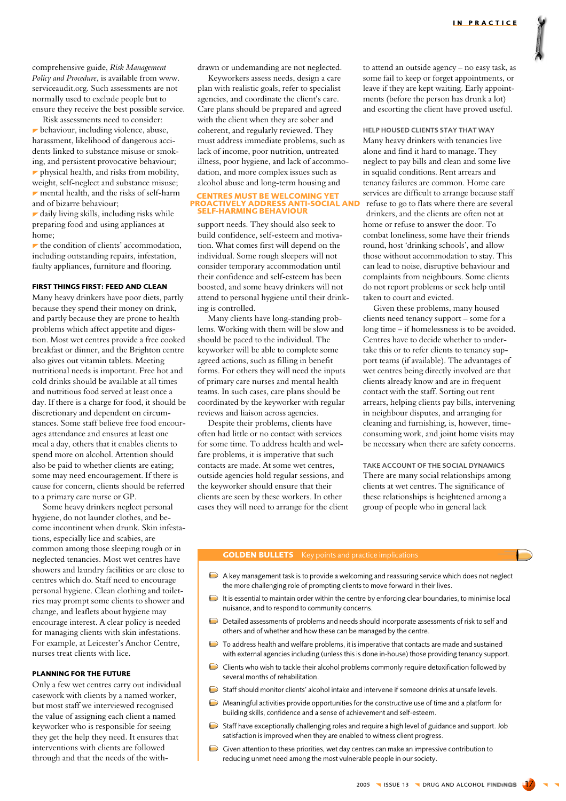comprehensive guide, Risk Management Policy and Procedure, is available from www. serviceaudit.org. Such assessments are not normally used to exclude people but to ensure they receive the best possible service.

Risk assessments need to consider: behaviour, including violence, abuse, harassment, likelihood of dangerous accidents linked to substance misuse or smoking, and persistent provocative behaviour;  $\blacktriangleright$  physical health, and risks from mobility, weight, self-neglect and substance misuse;  $\blacktriangleright$  mental health, and the risks of self-harm and of bizarre behaviour;

daily living skills, including risks while preparing food and using appliances at home:

 $\blacktriangleright$  the condition of clients' accommodation, including outstanding repairs, infestation, faulty appliances, furniture and flooring.

# **FIRST THINGS FIRST: FEED AND CLEAN**

Many heavy drinkers have poor diets, partly because they spend their money on drink, and partly because they are prone to health problems which affect appetite and digestion. Most wet centres provide a free cooked breakfast or dinner, and the Brighton centre also gives out vitamin tablets. Meeting nutritional needs is important. Free hot and cold drinks should be available at all times and nutritious food served at least once a day. If there is a charge for food, it should be discretionary and dependent on circumstances. Some staff believe free food encourages attendance and ensures at least one meal a day, others that it enables clients to spend more on alcohol. Attention should also be paid to whether clients are eating; some may need encouragement. If there is cause for concern, clients should be referred to a primary care nurse or GP.

Some heavy drinkers neglect personal hygiene, do not launder clothes, and become incontinent when drunk. Skin infestations, especially lice and scabies, are common among those sleeping rough or in neglected tenancies. Most wet centres have showers and laundry facilities or are close to centres which do. Staff need to encourage personal hygiene. Clean clothing and toiletries may prompt some clients to shower and change, and leaflets about hygiene may encourage interest. A clear policy is needed for managing clients with skin infestations. For example, at Leicester's Anchor Centre, nurses treat clients with lice

# **PLANNING FOR THE FUTURE**

Only a few wet centres carry out individual casework with clients by a named worker, but most staff we interviewed recognised the value of assigning each client a named keyworker who is responsible for seeing they get the help they need. It ensures that interventions with clients are followed through and that the needs of the withdrawn or undemanding are not neglected.

Keyworkers assess needs, design a care plan with realistic goals, refer to specialist agencies, and coordinate the client's care. Care plans should be prepared and agreed with the client when they are sober and coherent, and regularly reviewed. They must address immediate problems, such as lack of income, poor nutrition, untreated illness, poor hygiene, and lack of accommodation, and more complex issues such as alcohol abuse and long-term housing and

#### **CENTRES MUST BE WELCOMING YET ENTRES MOST BE WELCOMING<br>PROACTIVELY ADDRESS ANTI-S<br>SELF-HARMING BEHAVIOUR** CIAL AND

support needs. They should also seek to build confidence, self-esteem and motivation. What comes first will depend on the individual. Some rough sleepers will not consider temporary accommodation until their confidence and self-esteem has been boosted, and some heavy drinkers will not attend to personal hygiene until their drinking is controlled.

Many clients have long-standing problems. Working with them will be slow and should be paced to the individual. The keyworker will be able to complete some agreed actions, such as filling in benefit forms. For others they will need the inputs of primary care nurses and mental health teams. In such cases, care plans should be coordinated by the keyworker with regular reviews and liaison across agencies.

Despite their problems, clients have often had little or no contact with services for some time. To address health and welfare problems, it is imperative that such contacts are made. At some wet centres, outside agencies hold regular sessions, and the keyworker should ensure that their clients are seen by these workers. In other cases they will need to arrange for the client to attend an outside agency - no easy task, as some fail to keep or forget appointments, or leave if they are kept waiting. Early appointments (before the person has drunk a lot) and escorting the client have proved useful.

HELP HOUSED CLIENTS STAY THAT WAY Many heavy drinkers with tenancies live alone and find it hard to manage. They neglect to pay bills and clean and some live in squalid conditions. Rent arrears and tenancy failures are common. Home care services are difficult to arrange because staff refuse to go to flats where there are several drinkers, and the clients are often not at home or refuse to answer the door. To combat loneliness, some have their friends round, host 'drinking schools', and allow those without accommodation to stay. This can lead to noise, disruptive behaviour and complaints from neighbours. Some clients do not report problems or seek help until taken to court and evicted.

Given these problems, many housed clients need tenancy support – some for a long time – if homelessness is to be avoided. Centres have to decide whether to undertake this or to refer clients to tenancy support teams (if available). The advantages of wet centres being directly involved are that clients already know and are in frequent contact with the staff. Sorting out rent arrears, helping clients pay bills, intervening in neighbour disputes, and arranging for cleaning and furnishing, is, however, timeconsuming work, and joint home visits may be necessary when there are safety concerns.

TAKE ACCOUNT OF THE SOCIAL DYNAMICS There are many social relationships among clients at wet centres. The significance of these relationships is heightened among a group of people who in general lack

# **GOLDEN BULLETS** Key points and practice implications

- $\triangleright$  A key management task is to provide a welcoming and reassuring service which does not neglect the more challenging role of prompting clients to move forward in their lives.
- $\triangleright$  It is essential to maintain order within the centre by enforcing clear boundaries, to minimise local nuisance, and to respond to community concerns.
- Detailed assessments of problems and needs should incorporate assessments of risk to self and others and of whether and how these can be managed by the centre.
- To address health and welfare problems, it is imperative that contacts are made and sustained with external agencies including (unless this is done in-house) those providing tenancy support.
- Clients who wish to tackle their alcohol problems commonly require detoxification followed by several months of rehabilitation
- Staff should monitor clients' alcohol intake and intervene if someone drinks at unsafe levels.
- $\triangleright$  Meaningful activities provide opportunities for the constructive use of time and a platform for building skills, confidence and a sense of achievement and self-esteem.
- $\triangleright$  Staff have exceptionally challenging roles and require a high level of guidance and support. Job satisfaction is improved when they are enabled to witness client progress.
- Given attention to these priorities, wet day centres can make an impressive contribution to reducing unmet need among the most vulnerable people in our society.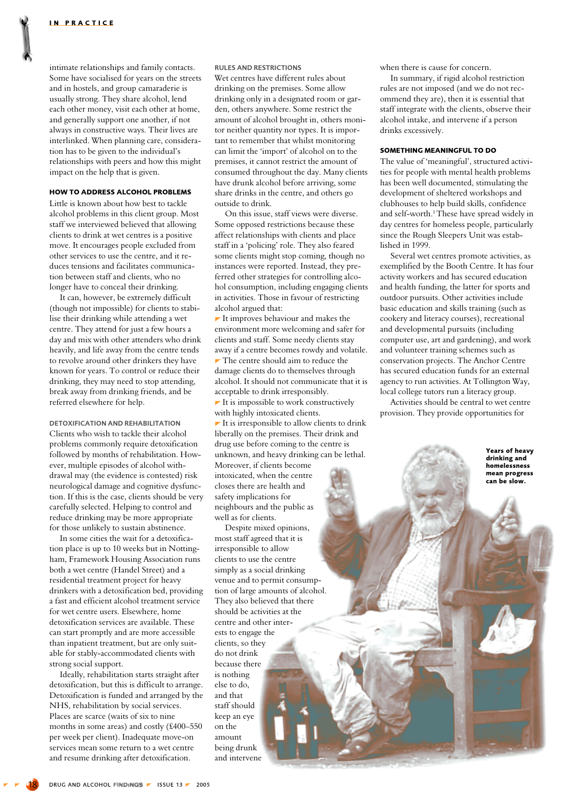intimate relationships and family contacts. Some have socialised for years on the streets and in hostels, and group camaraderie is usually strong. They share alcohol, lend each other money, visit each other at home, and generally support one another, if not always in constructive ways. Their lives are interlinked. When planning care, consideration has to be given to the individual's relationships with peers and how this might impact on the help that is given.

# **HOW TO ADDRESS ALCOHOL PROBLEMS**

Little is known about how best to tackle alcohol problems in this client group. Most staff we interviewed believed that allowing clients to drink at wet centres is a positive move. It encourages people excluded from other services to use the centre, and it reduces tensions and facilitates communication between staff and clients, who no longer have to conceal their drinking.

It can, however, be extremely difficult (though not impossible) for clients to stabilise their drinking while attending a wet centre. They attend for just a few hours a day and mix with other attenders who drink heavily, and life away from the centre tends to revolve around other drinkers they have known for years. To control or reduce their drinking, they may need to stop attending, break away from drinking friends, and be referred elsewhere for help.

DETOXIEICATION AND REHARILITATION Clients who wish to tackle their alcohol problems commonly require detoxification followed by months of rehabilitation. However, multiple episodes of alcohol withdrawal may (the evidence is contested) risk neurological damage and cognitive dysfunction. If this is the case, clients should be very carefully selected. Helping to control and reduce drinking may be more appropriate for those unlikely to sustain abstinence.

In some cities the wait for a detoxification place is up to 10 weeks but in Nottingham, Framework Housing Association runs both a wet centre (Handel Street) and a residential treatment project for heavy drinkers with a detoxification bed, providing a fast and efficient alcohol treatment service for wet centre users. Elsewhere, home detoxification services are available. These can start promptly and are more accessible than inpatient treatment, but are only suitable for stably-accommodated clients with strong social support.

Ideally, rehabilitation starts straight after detoxification, but this is difficult to arrange. Detoxification is funded and arranged by the NHS, rehabilitation by social services. Places are scarce (waits of six to nine months in some areas) and costly (£400–550 per week per client). Inadequate move-on services mean some return to a wet centre and resume drinking after detoxification.

#### **RULES AND RESTRICTIONS**

Wet centres have different rules about drinking on the premises. Some allow drinking only in a designated room or garden, others anywhere. Some restrict the amount of alcohol brought in, others monitor neither quantity nor types. It is important to remember that whilst monitoring can limit the 'import' of alcohol on to the premises, it cannot restrict the amount of consumed throughout the day. Many clients have drunk alcohol before arriving, some share drinks in the centre, and others go outside to drink.

On this issue, staff views were diverse. Some opposed restrictions because these affect relationships with clients and place staff in a 'policing' role. They also feared some clients might stop coming, though no instances were reported. Instead, they preferred other strategies for controlling alcohol consumption, including engaging clients in activities. Those in favour of restricting alcohol argued that:

 $\blacktriangleright$  It improves behaviour and makes the environment more welcoming and safer for clients and staff. Some needy clients stay away if a centre becomes rowdy and volatile.  $\blacktriangleright$  The centre should aim to reduce the damage clients do to themselves through alcohol. It should not communicate that it is acceptable to drink irresponsibly.

 $\blacktriangleright$  It is impossible to work constructively with highly intoxicated clients.

 $\blacktriangleright$  It is irresponsible to allow clients to drink liberally on the premises. Their drink and drug use before coming to the centre is unknown, and heavy drinking can be lethal.

Moreover, if clients become intoxicated, when the centre closes there are health and safety implications for neighbours and the public as well as for clients.

Despite mixed opinions, most staff agreed that it is irresponsible to allow clients to use the centre simply as a social drinking venue and to permit consumption of large amounts of alcohol. They also believed that there should be activities at the centre and other interests to engage the clients, so they do not drink because there is nothing else to do, and that staff should keep an eve on the amount being drunk and intervene

when there is cause for concern.

In summary, if rigid alcohol restriction rules are not imposed (and we do not recommend they are), then it is essential that staff integrate with the clients, observe their alcohol intake, and intervene if a person drinks excessively.

# **SOMETHING MEANINGFUL TO DO**

The value of 'meaningful', structured activities for people with mental health problems has been well documented, stimulating the development of sheltered workshops and clubhouses to help build skills, confidence and self-worth.<sup>1</sup> These have spread widely in day centres for homeless people, particularly since the Rough Sleepers Unit was established in 1999.

Several wet centres promote activities, as exemplified by the Booth Centre. It has four activity workers and has secured education and health funding, the latter for sports and outdoor pursuits. Other activities include basic education and skills training (such as cookery and literacy courses), recreational and developmental pursuits (including computer use, art and gardening), and work and volunteer training schemes such as conservation projects. The Anchor Centre has secured education funds for an external agency to run activities. At Tollington Way, local college tutors run a literacy group.

Activities should be central to wet centre provision. They provide opportunities for

> Years of heavy drinking and homelessness mean progress can be slow.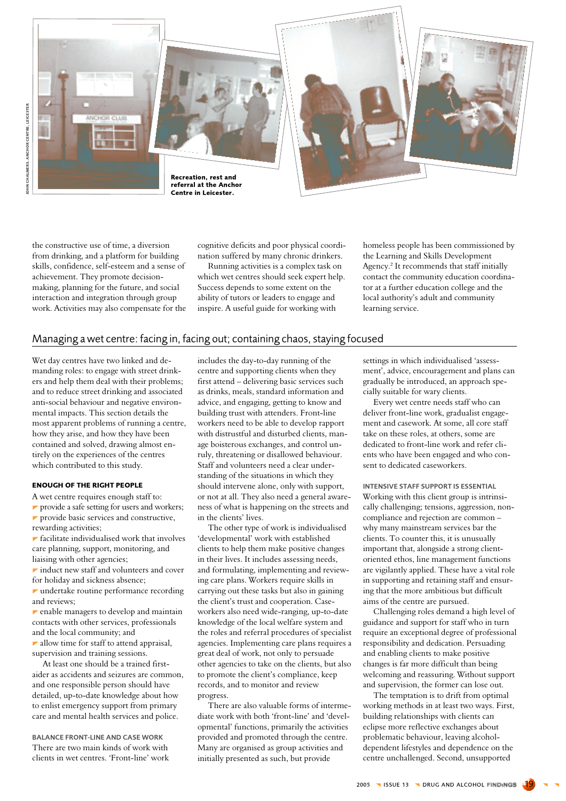

the constructive use of time, a diversion from drinking, and a platform for building skills, confidence, self-esteem and a sense of achievement. They promote decisionmaking, planning for the future, and social interaction and integration through group work. Activities may also compensate for the

cognitive deficits and poor physical coordination suffered by many chronic drinkers.

Running activities is a complex task on which wet centres should seek expert help. Success depends to some extent on the ability of tutors or leaders to engage and inspire. A useful guide for working with

homeless people has been commissioned by the Learning and Skills Development Agency.<sup>2</sup> It recommends that staff initially contact the community education coordinator at a further education college and the local authority's adult and community learning service.

# Managing a wet centre: facing in, facing out; containing chaos, staying focused

Wet day centres have two linked and demanding roles: to engage with street drinkers and help them deal with their problems; and to reduce street drinking and associated anti-social behaviour and negative environmental impacts. This section details the most apparent problems of running a centre, how they arise, and how they have been contained and solved, drawing almost entirely on the experiences of the centres which contributed to this study.

# **ENOUGH OF THE RIGHT PEOPLE**

A wet centre requires enough staff to:

provide a safe setting for users and workers; provide basic services and constructive, rewarding activities;

 $\blacktriangleright$  facilitate individualised work that involves care planning, support, monitoring, and liaising with other agencies;

 $\blacktriangleright$  induct new staff and volunteers and cover for holiday and sickness absence:

 $\blacktriangleright$  undertake routine performance recording and reviews:

 $\blacktriangleright$  enable managers to develop and maintain contacts with other services, professionals and the local community; and

 $\blacktriangleright$  allow time for staff to attend appraisal, supervision and training sessions.

At least one should be a trained firstaider as accidents and seizures are common. and one responsible person should have detailed, up-to-date knowledge about how to enlist emergency support from primary care and mental health services and police.

**BALANCE FRONT-LINE AND CASE WORK** There are two main kinds of work with clients in wet centres. 'Front-line' work includes the day-to-day running of the centre and supporting clients when they first attend - delivering basic services such as drinks, meals, standard information and advice, and engaging, getting to know and building trust with attenders. Front-line workers need to be able to develop rapport with distrustful and disturbed clients, manage boisterous exchanges, and control unruly, threatening or disallowed behaviour. Staff and volunteers need a clear understanding of the situations in which they should intervene alone, only with support. or not at all. They also need a general awareness of what is happening on the streets and in the clients' lives.

The other type of work is individualised 'developmental' work with established clients to help them make positive changes in their lives. It includes assessing needs, and formulating, implementing and reviewing care plans. Workers require skills in carrying out these tasks but also in gaining the client's trust and cooperation. Caseworkers also need wide-ranging, up-to-date knowledge of the local welfare system and the roles and referral procedures of specialist agencies. Implementing care plans requires a great deal of work, not only to persuade other agencies to take on the clients, but also to promote the client's compliance, keep records, and to monitor and review progress

There are also valuable forms of intermediate work with both 'front-line' and 'developmental' functions, primarily the activities provided and promoted through the centre. Many are organised as group activities and initially presented as such, but provide

settings in which individualised 'assessment', advice, encouragement and plans can gradually be introduced, an approach specially suitable for wary clients.

Every wet centre needs staff who can deliver front-line work, gradualist engagement and casework. At some, all core staff take on these roles, at others, some are dedicated to front-line work and refer clients who have been engaged and who consent to dedicated caseworkers.

INTENSIVE STAFF SUPPORT IS ESSENTIAL Working with this client group is intrinsically challenging; tensions, aggression, noncompliance and rejection are common why many mainstream services bar the clients. To counter this, it is unusually important that, alongside a strong clientoriented ethos, line management functions are vigilantly applied. These have a vital role in supporting and retaining staff and ensuring that the more ambitious but difficult aims of the centre are pursued.

Challenging roles demand a high level of guidance and support for staff who in turn require an exceptional degree of professional responsibility and dedication. Persuading and enabling clients to make positive changes is far more difficult than being welcoming and reassuring. Without support and supervision, the former can lose out.

The temptation is to drift from optimal working methods in at least two ways. First, building relationships with clients can eclipse more reflective exchanges about problematic behaviour, leaving alcoholdependent lifestyles and dependence on the centre unchallenged. Second, unsupported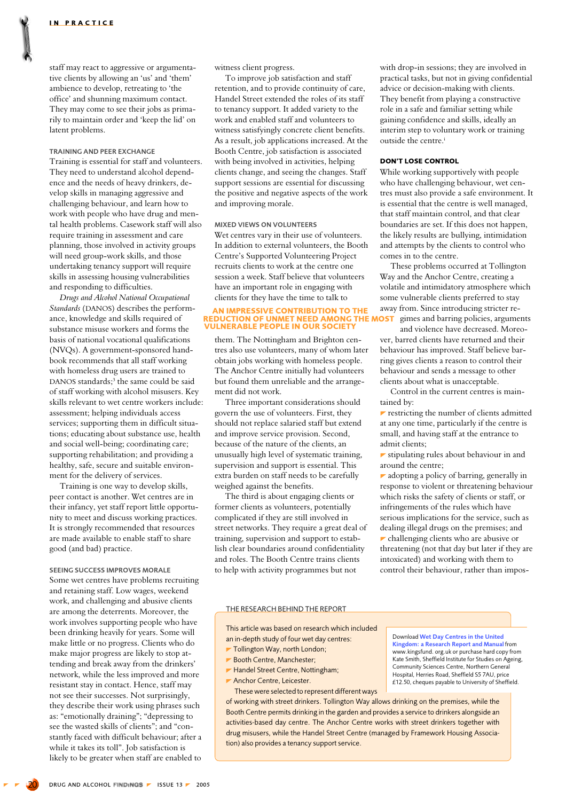<span id="page-4-0"></span>staff may react to aggressive or argumentative clients by allowing an 'us' and 'them' ambience to develop, retreating to 'the office' and shunning maximum contact. They may come to see their jobs as primarily to maintain order and 'keep the lid' on latent problems.

# **TRAINING AND PEER EXCHANGE**

Training is essential for staff and volunteers. They need to understand alcohol dependence and the needs of heavy drinkers, develop skills in managing aggressive and challenging behaviour, and learn how to work with people who have drug and mental health problems. Casework staff will also require training in assessment and care planning, those involved in activity groups will need group-work skills, and those undertaking tenancy support will require skills in assessing housing vulnerabilities and responding to difficulties.

Drugs and Alcohol National Occupational Standards (DANOS) describes the performance, knowledge and skills required of substance misuse workers and forms the basis of national vocational qualifications (NVQs). A government-sponsored handbook recommends that all staff working with homeless drug users are trained to DANOS standards;<sup>3</sup> the same could be said of staff working with alcohol misusers. Key skills relevant to wet centre workers include: assessment; helping individuals access services; supporting them in difficult situations; educating about substance use, health and social well-being; coordinating care; supporting rehabilitation: and providing a healthy, safe, secure and suitable environment for the delivery of services.

Training is one way to develop skills. peer contact is another. Wet centres are in their infancy, yet staff report little opportunity to meet and discuss working practices. It is strongly recommended that resources are made available to enable staff to share good (and bad) practice.

SEEING SUCCESS IMPROVES MORALE Some wet centres have problems recruiting and retaining staff. Low wages, weekend work, and challenging and abusive clients are among the deterrents. Moreover, the work involves supporting people who have been drinking heavily for years. Some will make little or no progress. Clients who do make major progress are likely to stop attending and break away from the drinkers' network, while the less improved and more resistant stay in contact. Hence, staff may not see their successes. Not surprisingly, they describe their work using phrases such as: "emotionally draining"; "depressing to see the wasted skills of clients"; and "constantly faced with difficult behaviour: after a while it takes its toll". Job satisfaction is likely to be greater when staff are enabled to witness client progress.

To improve job satisfaction and staff retention, and to provide continuity of care, Handel Street extended the roles of its staff to tenancy support. It added variety to the work and enabled staff and volunteers to witness satisfyingly concrete client benefits. As a result, job applications increased. At the Booth Centre, job satisfaction is associated with being involved in activities, helping clients change, and seeing the changes. Staff support sessions are essential for discussing the positive and negative aspects of the work and improving morale.

# **MIXED VIEWS ON VOLUNTEERS**

Wet centres vary in their use of volunteers. In addition to external volunteers, the Booth Centre's Supported Volunteering Project recruits clients to work at the centre one session a week. Staff believe that volunteers have an important role in engaging with clients for they have the time to talk to

#### AN IMPRESSIVE CONTRIBUTION TO THE **REDUCTION OF UNMET NEED AMONG THE VULNERABLE PEOPLE IN OUR SOCIETY**

them. The Nottingham and Brighton centres also use volunteers, many of whom later obtain jobs working with homeless people. The Anchor Centre initially had volunteers but found them unreliable and the arrangement did not work.

Three important considerations should govern the use of volunteers. First, they should not replace salaried staff but extend and improve service provision. Second, because of the nature of the clients, an unusually high level of systematic training. supervision and support is essential. This extra burden on staff needs to be carefully weighed against the benefits.

The third is about engaging clients or former clients as volunteers, potentially complicated if they are still involved in street networks. They require a great deal of training, supervision and support to establish clear boundaries around confidentiality and roles. The Booth Centre trains clients to help with activity programmes but not

with drop-in sessions: they are involved in practical tasks, but not in giving confidential advice or decision-making with clients. They benefit from playing a constructive role in a safe and familiar setting while gaining confidence and skills, ideally an interim step to voluntary work or training outside the centre.<sup>i</sup>

### **DON'T LOSE CONTROL**

While working supportively with people who have challenging behaviour, wet centres must also provide a safe environment. It is essential that the centre is well managed, that staff maintain control, and that clear boundaries are set. If this does not happen, the likely results are bullying, intimidation and attempts by the clients to control who comes in to the centre.

These problems occurred at Tollington Way and the Anchor Centre, creating a volatile and intimidatory atmosphere which some vulnerable clients preferred to stay away from. Since introducing stricter re-**OST** gimes and barring policies, arguments

and violence have decreased. Moreover, barred clients have returned and their behaviour has improved. Staff believe barring gives clients a reason to control their behaviour and sends a message to other clients about what is unacceptable.

Control in the current centres is maintained by:

 $\blacktriangleright$  restricting the number of clients admitted at any one time, particularly if the centre is small, and having staff at the entrance to admit clients:

 $\blacktriangleright$  stipulating rules about behaviour in and around the centre:

 $\blacktriangleright$  adopting a policy of barring, generally in response to violent or threatening behaviour which risks the safety of clients or staff, or infringements of the rules which have serious implications for the service, such as dealing illegal drugs on the premises; and

 $\blacktriangleright$  challenging clients who are abusive or threatening (not that day but later if they are intoxicated) and working with them to control their behaviour, rather than impos-

# THE RESEARCH BEHIND THE REPORT

This article was based on research which included an in-depth study of four wet day centres: Tollington Way, north London;

- Booth Centre, Manchester;
- Handel Street Centre, Nottingham;
- Anchor Centre, Leicester.
- These were selected to represent different ways

Download Wet Day Centres in the United Kingdom: a Research Report and Manual from www.kingsfund. org.uk or purchase hard copy from Kate Smith, Sheffield Institute for Studies on Ageing, Community Sciences Centre, Northern General Hospital, Herries Road, Sheffield S5 7AU, price<br>
£12.50, cheques payable to University of Sheffield.

of working with street drinkers. Tollington Way allows drinking on the premises, while the Booth Centre permits drinking in the garden and provides a service to drinkers alongside an activities-based day centre. The Anchor Centre works with street drinkers together with drug misusers, while the Handel Street Centre (managed by Framework Housing Association) also provides a tenancy support service.